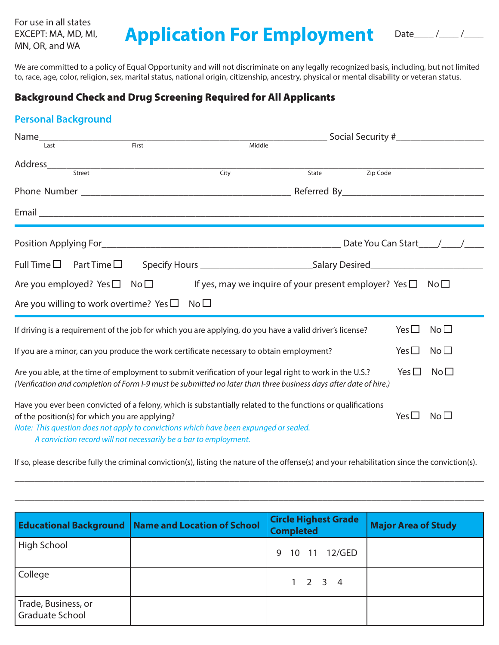For use in all states EXCEPT: MA, MD, MI,

# EXCEPT: MA, MD, MI, **Application For Employment**

| $\overline{a}$ |  |  |
|----------------|--|--|
|----------------|--|--|

We are committed to a policy of Equal Opportunity and will not discriminate on any legally recognized basis, including, but not limited to, race, age, color, religion, sex, marital status, national origin, citizenship, ancestry, physical or mental disability or veteran status.

## Background Check and Drug Screening Required for All Applicants

# **Personal Background**

| Name_                                          |                                                                  |                                                                                                                                                                                                                              |       |          |               |                 |
|------------------------------------------------|------------------------------------------------------------------|------------------------------------------------------------------------------------------------------------------------------------------------------------------------------------------------------------------------------|-------|----------|---------------|-----------------|
| Last                                           | First                                                            | Middle                                                                                                                                                                                                                       |       |          |               |                 |
|                                                |                                                                  |                                                                                                                                                                                                                              |       |          |               |                 |
|                                                |                                                                  | City                                                                                                                                                                                                                         | State | Zip Code |               |                 |
|                                                |                                                                  |                                                                                                                                                                                                                              |       |          |               |                 |
|                                                |                                                                  |                                                                                                                                                                                                                              |       |          |               |                 |
|                                                |                                                                  |                                                                                                                                                                                                                              |       |          |               |                 |
| Full Time $\square$ Part Time $\square$        |                                                                  | Specify Hours _________________________________Salary Desired___________________                                                                                                                                             |       |          |               |                 |
| Are you employed? Yes $\square$ No $\square$   |                                                                  | If yes, may we inquire of your present employer? Yes $\square$                                                                                                                                                               |       |          |               | No <sub>1</sub> |
|                                                | Are you willing to work overtime? Yes $\square$                  | No <sub>1</sub>                                                                                                                                                                                                              |       |          |               |                 |
|                                                |                                                                  | If driving is a requirement of the job for which you are applying, do you have a valid driver's license?                                                                                                                     |       |          | Yes $\Box$    | No <sub>1</sub> |
|                                                |                                                                  | If you are a minor, can you produce the work certificate necessary to obtain employment?                                                                                                                                     |       |          | Yes $\Box$    | No <sub>1</sub> |
|                                                |                                                                  | Are you able, at the time of employment to submit verification of your legal right to work in the U.S.?<br>(Verification and completion of Form I-9 must be submitted no later than three business days after date of hire.) |       |          | Yes $\square$ | No <sub>1</sub> |
| of the position(s) for which you are applying? | A conviction record will not necessarily be a bar to employment. | Have you ever been convicted of a felony, which is substantially related to the functions or qualifications<br>Note: This question does not apply to convictions which have been expunged or sealed.                         |       |          | Yes $\square$ | No <sub>1</sub> |

If so, please describe fully the criminal conviction(s), listing the nature of the offense(s) and your rehabilitation since the conviction(s).

\_\_\_\_\_\_\_\_\_\_\_\_\_\_\_\_\_\_\_\_\_\_\_\_\_\_\_\_\_\_\_\_\_\_\_\_\_\_\_\_\_\_\_\_\_\_\_\_\_\_\_\_\_\_\_\_\_\_\_\_\_\_\_\_\_\_\_\_\_\_\_\_\_\_\_\_\_\_\_\_\_\_\_\_\_\_\_\_\_\_\_\_\_\_\_\_

\_\_\_\_\_\_\_\_\_\_\_\_\_\_\_\_\_\_\_\_\_\_\_\_\_\_\_\_\_\_\_\_\_\_\_\_\_\_\_\_\_\_\_\_\_\_\_\_\_\_\_\_\_\_\_\_\_\_\_\_\_\_\_\_\_\_\_\_\_\_\_\_\_\_\_\_\_\_\_\_\_\_\_\_\_\_\_\_\_\_\_\_\_\_\_\_

|                                        | <b>Educational Background   Name and Location of School</b> | <b>Circle Highest Grade</b><br><b>Completed</b> | <b>Major Area of Study</b> |
|----------------------------------------|-------------------------------------------------------------|-------------------------------------------------|----------------------------|
| High School                            |                                                             | 10 11 12/GED<br>9                               |                            |
| College                                |                                                             | $1 \quad 2 \quad 3 \quad 4$                     |                            |
| Trade, Business, or<br>Graduate School |                                                             |                                                 |                            |